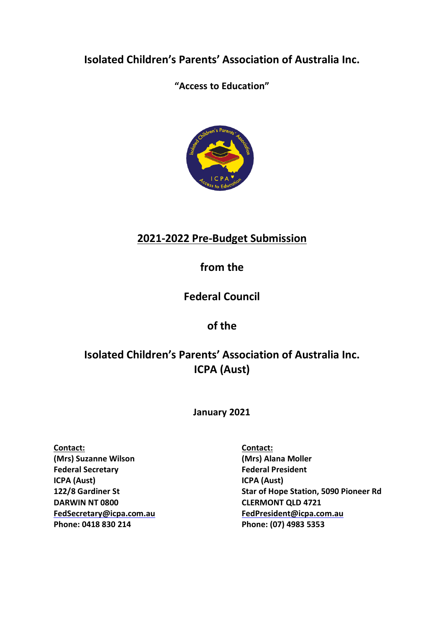**Isolated Children's Parents' Association of Australia Inc.**

**"Access to Education"**



# **2021-2022 Pre-Budget Submission**

# **from the**

# **Federal Council**

# **of the**

# **Isolated Children's Parents' Association of Australia Inc. ICPA (Aust)**

**January 2021**

**Contact: Contact: (Mrs) Suzanne Wilson (Mrs) Alana Moller Federal Secretary Federal President ICPA (Aust) ICPA (Aust) DARWIN NT 0800 CLERMONT QLD 4721 Phone: 0418 830 214 Phone: (07) 4983 5353**

**122/8 Gardiner St Star of Hope Station, 5090 Pioneer Rd [FedSecretary@icpa.com.au](mailto:FedSecretary@icpa.com.au) FedPresident@icpa.com.au**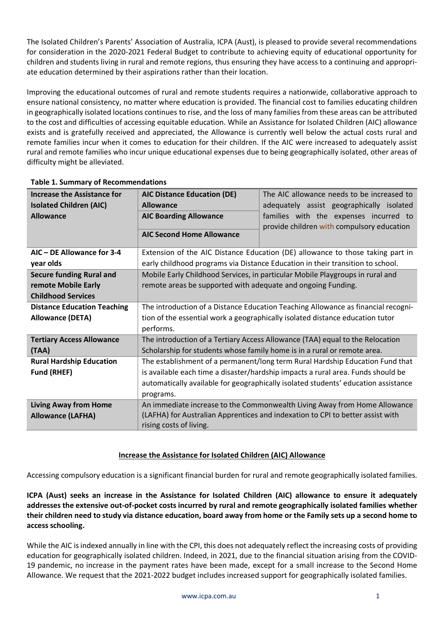The Isolated Children's Parents' Association of Australia, ICPA (Aust), is pleased to provide several recommendations for consideration in the 2020-2021 Federal Budget to contribute to achieving equity of educational opportunity for children and students living in rural and remote regions, thus ensuring they have access to a continuing and appropriate education determined by their aspirations rather than their location.

Improving the educational outcomes of rural and remote students requires a nationwide, collaborative approach to ensure national consistency, no matter where education is provided. The financial cost to families educating children in geographically isolated locations continues to rise, and the loss of many families from these areas can be attributed to the cost and difficulties of accessing equitable education. While an Assistance for Isolated Children (AIC) allowance exists and is gratefully received and appreciated, the Allowance is currently well below the actual costs rural and remote families incur when it comes to education for their children. If the AIC were increased to adequately assist rural and remote families who incur unique educational expenses due to being geographically isolated, other areas of difficulty might be alleviated.

| <b>Increase the Assistance for</b> | <b>AIC Distance Education (DE)</b>                                                | The AIC allowance needs to be increased to                                         |  |
|------------------------------------|-----------------------------------------------------------------------------------|------------------------------------------------------------------------------------|--|
| <b>Isolated Children (AIC)</b>     | <b>Allowance</b>                                                                  | adequately assist geographically isolated                                          |  |
| <b>Allowance</b>                   | <b>AIC Boarding Allowance</b>                                                     | families with the expenses incurred to                                             |  |
|                                    |                                                                                   | provide children with compulsory education                                         |  |
|                                    | <b>AIC Second Home Allowance</b>                                                  |                                                                                    |  |
| AIC - DE Allowance for 3-4         |                                                                                   | Extension of the AIC Distance Education (DE) allowance to those taking part in     |  |
| year olds                          |                                                                                   | early childhood programs via Distance Education in their transition to school.     |  |
| <b>Secure funding Rural and</b>    |                                                                                   | Mobile Early Childhood Services, in particular Mobile Playgroups in rural and      |  |
| remote Mobile Early                | remote areas be supported with adequate and ongoing Funding.                      |                                                                                    |  |
| <b>Childhood Services</b>          |                                                                                   |                                                                                    |  |
| <b>Distance Education Teaching</b> | The introduction of a Distance Education Teaching Allowance as financial recogni- |                                                                                    |  |
| <b>Allowance (DETA)</b>            | tion of the essential work a geographically isolated distance education tutor     |                                                                                    |  |
|                                    | performs.                                                                         |                                                                                    |  |
| <b>Tertiary Access Allowance</b>   | The introduction of a Tertiary Access Allowance (TAA) equal to the Relocation     |                                                                                    |  |
| (TAA)                              | Scholarship for students whose family home is in a rural or remote area.          |                                                                                    |  |
| <b>Rural Hardship Education</b>    | The establishment of a permanent/long term Rural Hardship Education Fund that     |                                                                                    |  |
| <b>Fund (RHEF)</b>                 | is available each time a disaster/hardship impacts a rural area. Funds should be  |                                                                                    |  |
|                                    |                                                                                   | automatically available for geographically isolated students' education assistance |  |
|                                    | programs.                                                                         |                                                                                    |  |
| <b>Living Away from Home</b>       |                                                                                   | An immediate increase to the Commonwealth Living Away from Home Allowance          |  |
| <b>Allowance (LAFHA)</b>           |                                                                                   | (LAFHA) for Australian Apprentices and indexation to CPI to better assist with     |  |
|                                    | rising costs of living.                                                           |                                                                                    |  |

## **Table 1. Summary of Recommendations**

# **Increase the Assistance for Isolated Children (AIC) Allowance**

Accessing compulsory education is a significant financial burden for rural and remote geographically isolated families.

ICPA (Aust) seeks an increase in the Assistance for Isolated Children (AIC) allowance to ensure it adequately **addresses the extensive out-of-pocket costs incurred by rural and remote geographically isolated families whether** their children need to study via distance education, board away from home or the Family sets up a second home to **access schooling.**

While the AIC is indexed annually in line with the CPI, this does not adequately reflect the increasing costs of providing education for geographically isolated children. Indeed, in 2021, due to the financial situation arising from the COVID-19 pandemic, no increase in the payment rates have been made, except for a small increase to the Second Home Allowance. We request that the 2021-2022 budget includes increased support for geographically isolated families.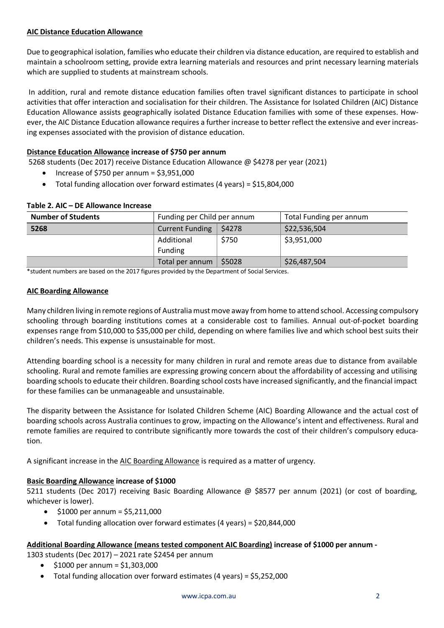## **AIC Distance Education Allowance**

Due to geographical isolation, families who educate their children via distance education, are required to establish and maintain a schoolroom setting, provide extra learning materials and resources and print necessary learning materials which are supplied to students at mainstream schools.

In addition, rural and remote distance education families often travel significant distances to participate in school activities that offer interaction and socialisation for their children. The Assistance for Isolated Children (AIC) Distance Education Allowance assists geographically isolated Distance Education families with some of these expenses. However, the AIC Distance Education allowance requires a further increase to better reflect the extensive and ever increasing expenses associated with the provision of distance education.

## **Distance Education Allowance increase of \$750 per annum**

5268 students (Dec 2017) receive Distance Education Allowance @ \$4278 per year (2021)

- $\bullet$  Increase of \$750 per annum = \$3,951,000
- Total funding allocation over forward estimates (4 years) = \$15,804,000

| <b>Number of Students</b> | Funding per Child per annum      |        | Total Funding per annum |
|---------------------------|----------------------------------|--------|-------------------------|
| 5268                      | <b>Current Funding</b><br>\$4278 |        | \$22,536,504            |
|                           | \$750<br>Additional              |        | \$3,951,000             |
|                           | Funding                          |        |                         |
|                           | Total per annum                  | \$5028 | \$26,487,504            |

### **Table 2. AIC – DE Allowance Increase**

\*student numbers are based on the 2017 figures provided by the Department of Social Services.

#### **AIC Boarding Allowance**

Many children living in remote regions of Australiamustmove away fromhome to attend school. Accessing compulsory schooling through boarding institutions comes at a considerable cost to families. Annual out-of-pocket boarding expenses range from \$10,000 to \$35,000 per child, depending on where families live and which school best suits their children's needs. This expense is unsustainable for most.

Attending boarding school is a necessity for many children in rural and remote areas due to distance from available schooling. Rural and remote families are expressing growing concern about the affordability of accessing and utilising boarding schools to educate their children. Boarding school costs have increased significantly, and the financial impact for these families can be unmanageable and unsustainable.

The disparity between the Assistance for Isolated Children Scheme (AIC) Boarding Allowance and the actual cost of boarding schools across Australia continues to grow, impacting on the Allowance's intent and effectiveness. Rural and remote families are required to contribute significantly more towards the cost of their children's compulsory education.

A significant increase in the AIC Boarding Allowance is required as a matter of urgency.

### **Basic Boarding Allowance increase of \$1000**

5211 students (Dec 2017) receiving Basic Boarding Allowance @ \$8577 per annum (2021) (or cost of boarding, whichever is lower).

- $\bullet$  \$1000 per annum = \$5,211,000
- Total funding allocation over forward estimates (4 years) = \$20,844,000

### **Additional Boarding Allowance (means tested component AIC Boarding) increase of \$1000 per annum -**

1303 students (Dec 2017) – 2021 rate \$2454 per annum

- \$1000 per annum = \$1,303,000
- Total funding allocation over forward estimates (4 years) = \$5,252,000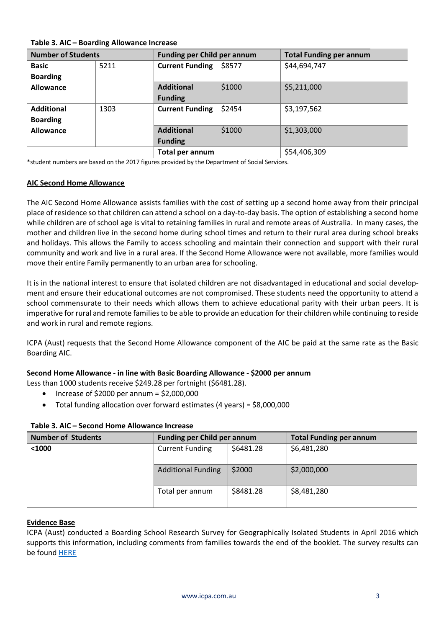| Table 3. AIC - Boarding Allowance Increase |      |                                     |        |                                |
|--------------------------------------------|------|-------------------------------------|--------|--------------------------------|
| <b>Number of Students</b>                  |      | <b>Funding per Child per annum</b>  |        | <b>Total Funding per annum</b> |
| Basic<br><b>Boarding</b>                   | 5211 | <b>Current Funding</b>              | \$8577 | \$44,694,747                   |
| <b>Allowance</b>                           |      | <b>Additional</b><br><b>Funding</b> | \$1000 | \$5,211,000                    |
| <b>Additional</b><br><b>Boarding</b>       | 1303 | <b>Current Funding</b>              | \$2454 | \$3,197,562                    |
| <b>Allowance</b>                           |      | <b>Additional</b><br><b>Funding</b> | \$1000 | \$1,303,000                    |
|                                            |      | Total per annum                     |        | \$54,406,309                   |

\*student numbers are based on the 2017 figures provided by the Department of Social Services.

#### **AIC Second Home Allowance**

The AIC Second Home Allowance assists families with the cost of setting up a second home away from their principal place of residence so that children can attend a school on a day-to-day basis. The option of establishing a second home while children are of school age is vital to retaining families in rural and remote areas of Australia. In many cases, the mother and children live in the second home during school times and return to their rural area during school breaks and holidays. This allows the Family to access schooling and maintain their connection and support with their rural community and work and live in a rural area. If the Second Home Allowance were not available, more families would move their entire Family permanently to an urban area for schooling.

It is in the national interest to ensure that isolated children are not disadvantaged in educational and social development and ensure their educational outcomes are not compromised. These students need the opportunity to attend a school commensurate to their needs which allows them to achieve educational parity with their urban peers. It is imperative for rural and remote familiesto be able to provide an education for their children while continuing to reside and work in rural and remote regions.

ICPA (Aust) requests that the Second Home Allowance component of the AIC be paid at the same rate as the Basic Boarding AIC.

### **Second Home Allowance - in line with Basic Boarding Allowance - \$2000 per annum**

Less than 1000 students receive \$249.28 per fortnight (\$6481.28).

- Increase of  $$2000$  per annum =  $$2,000,000$
- Total funding allocation over forward estimates (4 years) = \$8,000,000

| <b>Number of Students</b> | <b>Funding per Child per annum</b> |           | <b>Total Funding per annum</b> |
|---------------------------|------------------------------------|-----------|--------------------------------|
| $<1000$                   | <b>Current Funding</b>             | \$6481.28 | \$6,481,280                    |
|                           | <b>Additional Funding</b>          | \$2000    | \$2,000,000                    |
|                           | Total per annum                    | \$8481.28 | \$8,481,280                    |

### **Table 3. AIC – Second Home Allowance Increase**

### **Evidence Base**

ICPA (Aust) conducted a Boarding School Research Survey for Geographically Isolated Students in April 2016 which supports this information, including comments from families towards the end of the booklet. The survey results can be found [HERE](https://www.icpa.com.au/page/attachment/94/final-boarding-school-survey-icpa-aust-with-comments-2016)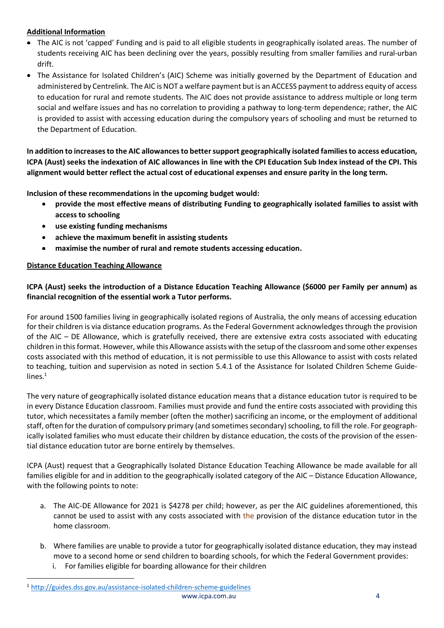# **Additional Information**

- The AIC is not 'capped' Funding and is paid to all eligible students in geographically isolated areas. The number of students receiving AIC has been declining over the years, possibly resulting from smaller families and rural-urban drift.
- The Assistance for Isolated Children's (AIC) Scheme was initially governed by the Department of Education and administered by Centrelink. The AIC isNOT a welfare payment butis an ACCESS paymentto address equity of access to education for rural and remote students. The AIC does not provide assistance to address multiple or long term social and welfare issues and has no correlation to providing a pathway to long-term dependence; rather, the AIC is provided to assist with accessing education during the compulsory years of schooling and must be returned to the Department of Education.

**In addition to increasesto the AIC allowancesto bettersupport geographically isolated familiesto access education,** ICPA (Aust) seeks the indexation of AIC allowances in line with the CPI Education Sub Index instead of the CPI. This alignment would better reflect the actual cost of educational expenses and ensure parity in the long term.

**Inclusion of these recommendations in the upcoming budget would:**

- **provide the most effective means of distributing Funding to geographically isolated families to assist with access to schooling**
- **use existing funding mechanisms**
- **achieve the maximum benefit in assisting students**
- **maximise the number of rural and remote students accessing education.**

# **Distance Education Teaching Allowance**

# ICPA (Aust) seeks the introduction of a Distance Education Teaching Allowance (\$6000 per Family per annum) as **financial recognition of the essential work a Tutor performs.**

For around 1500 families living in geographically isolated regions of Australia, the only means of accessing education for their children is via distance education programs. As the Federal Government acknowledges through the provision of the AIC – DE Allowance, which is gratefully received, there are extensive extra costs associated with educating children in thisformat. However, while this Allowance assists with the setup of the classroom and some other expenses costs associated with this method of education, it is not permissible to use this Allowance to assist with costs related to teaching, tuition and supervision as noted in section 5.4.1 of the Assistance for Isolated Children Scheme Guidelines.<sup>1</sup>

The very nature of geographically isolated distance education means that a distance education tutor is required to be in every Distance Education classroom. Families must provide and fund the entire costs associated with providing this tutor, which necessitates a family member (often the mother) sacrificing an income, or the employment of additional staff, often for the duration of compulsory primary (and sometimes secondary) schooling, to fill the role. For geographically isolated families who must educate their children by distance education, the costs of the provision of the essential distance education tutor are borne entirely by themselves.

ICPA (Aust) request that a Geographically Isolated Distance Education Teaching Allowance be made available for all families eligible for and in addition to the geographically isolated category of the AIC – Distance Education Allowance, with the following points to note:

- a. The AIC-DE Allowance for 2021 is \$4278 per child; however, as per the AIC guidelines aforementioned, this cannot be used to assist with any costs associated with the provision of the distance education tutor in the home classroom.
- b. Where families are unable to provide a tutor for geographically isolated distance education, they may instead move to a second home or send children to boarding schools, for which the Federal Government provides:
	- i. For families eligible for boarding allowance for their children

[www.icpa.com.au](http://www.icpa.com.au/) 4 <sup>1</sup> <http://guides.dss.gov.au/assistance-isolated-children-scheme-guidelines>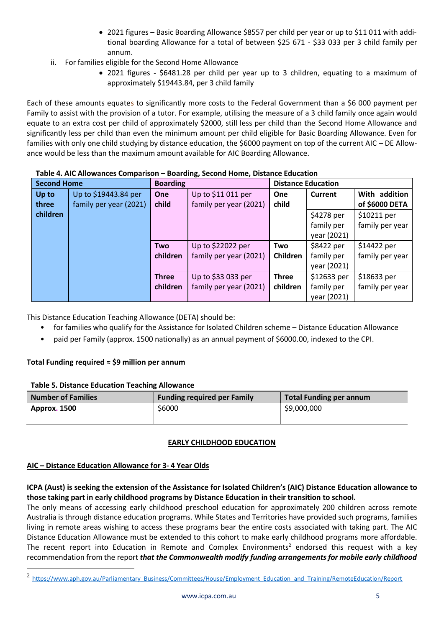- 2021 figures Basic Boarding Allowance \$8557 per child per year or up to \$11 011 with additional boarding Allowance for a total of between \$25 671 - \$33 033 per 3 child family per annum.
- ii. For families eligible for the Second Home Allowance
	- 2021 figures \$6481.28 per child per year up to 3 children, equating to a maximum of approximately \$19443.84, per 3 child family

Each of these amounts equates to significantly more costs to the Federal Government than a \$6 000 payment per Family to assist with the provision of a tutor. For example, utilising the measure of a 3 child family once again would equate to an extra cost per child of approximately \$2000, still less per child than the Second Home Allowance and significantly less per child than even the minimum amount per child eligible for Basic Boarding Allowance. Even for families with only one child studying by distance education, the \$6000 payment on top of the current AIC – DE Allowance would be less than the maximum amount available for AIC Boarding Allowance.

| <b>Second Home</b> |                        | <b>Boarding</b> |                        | <b>Distance Education</b> |             |                 |
|--------------------|------------------------|-----------------|------------------------|---------------------------|-------------|-----------------|
| Up to              | Up to \$19443.84 per   | One             | Up to \$11 011 per     | One                       | Current     | With addition   |
| three              | family per year (2021) | child           | family per year (2021) | child                     |             | of \$6000 DETA  |
| children           |                        |                 |                        |                           | \$4278 per  | \$10211 per     |
|                    |                        |                 |                        |                           | family per  | family per year |
|                    |                        |                 |                        |                           | year (2021) |                 |
|                    |                        | <b>Two</b>      | Up to \$22022 per      | Two                       | \$8422 per  | \$14422 per     |
|                    |                        | children        | family per year (2021) | Children                  | family per  | family per year |
|                    |                        |                 |                        |                           | year (2021) |                 |
|                    |                        | <b>Three</b>    | Up to \$33 033 per     | <b>Three</b>              | \$12633 per | \$18633 per     |
|                    |                        | children        | family per year (2021) | children                  | family per  | family per year |
|                    |                        |                 |                        |                           | year (2021) |                 |

**Table 4. AIC Allowances Comparison – Boarding, Second Home, Distance Education**

This Distance Education Teaching Allowance (DETA) should be:

- for families who qualify for the Assistance for Isolated Children scheme Distance Education Allowance
- paid per Family (approx. 1500 nationally) as an annual payment of \$6000.00, indexed to the CPI.

# **Total Funding required ≈ \$9 million per annum**

### **Table 5. Distance Education Teaching Allowance**

| <b>Number of Families</b> | <b>Funding required per Family</b> | <b>Total Funding per annum</b> |  |
|---------------------------|------------------------------------|--------------------------------|--|
| <b>Approx. 1500</b>       | \$6000                             | \$9,000,000                    |  |

# **EARLY CHILDHOOD EDUCATION**

# **AIC – Distance Education Allowance for 3- 4 Year Olds**

# ICPA (Aust) is seeking the extension of the Assistance for Isolated Children's (AIC) Distance Education allowance to **those taking part in early childhood programs by Distance Education in their transition to school.**

The only means of accessing early childhood preschool education for approximately 200 children across remote Australia is through distance education programs. While States and Territories have provided such programs, families living in remote areas wishing to access these programs bear the entire costs associated with taking part. The AIC Distance Education Allowance must be extended to this cohort to make early childhood programs more affordable. The recent report into Education in Remote and Complex Environments<sup>2</sup> endorsed this request with a key recommendation from the report *that the Commonwealth modify funding arrangements for mobile early childhood*

<sup>&</sup>lt;sup>2</sup> [https://www.aph.gov.au/Parliamentary\\_Business/Committees/House/Employment\\_Education\\_and\\_Training/RemoteEducation/Report](https://www.aph.gov.au/Parliamentary_Business/Committees/House/Employment_Education_and_Training/RemoteEducation/Report)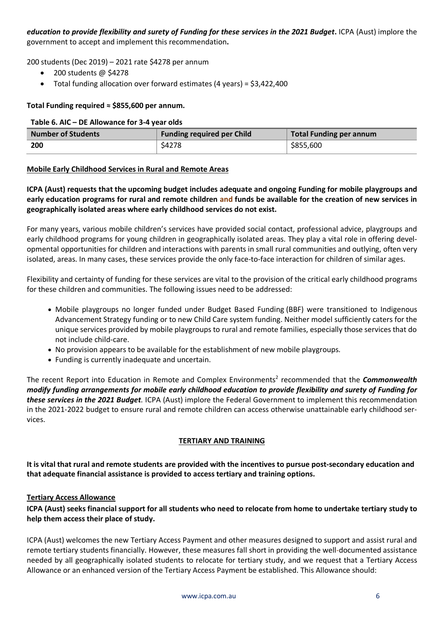education to provide flexibility and surety of Funding for these services in the 2021 Budget. ICPA (Aust) implore the government to accept and implement this recommendation**.**

200 students (Dec 2019) – 2021 rate \$4278 per annum

- 200 students @ \$4278
- Total funding allocation over forward estimates (4 years) = \$3,422,400

## **Total Funding required ≈ \$855,600 per annum.**

#### **Table 6. AIC – DE Allowance for 3-4 year olds**

| <b>Number of Students</b> | <b>Funding required per Child</b> | Total Funding per annum |
|---------------------------|-----------------------------------|-------------------------|
| 200                       | \$4278                            | \$855,600               |

## **Mobile Early Childhood Services in Rural and Remote Areas**

**ICPA (Aust) requests that the upcoming budget includes adequate and ongoing Funding for mobile playgroups and** early education programs for rural and remote children and funds be available for the creation of new services in **geographically isolated areas where early childhood services do not exist.**

For many years, various mobile children's services have provided social contact, professional advice, playgroups and early childhood programs for young children in geographically isolated areas. They play a vital role in offering developmental opportunities for children and interactions with parents in small rural communities and outlying, often very isolated, areas. In many cases, these services provide the only face-to-face interaction for children of similar ages.

Flexibility and certainty of funding for these services are vital to the provision of the critical early childhood programs for these children and communities. The following issues need to be addressed:

- Mobile playgroups no longer funded under Budget Based Funding (BBF) were transitioned to Indigenous Advancement Strategy funding or to new Child Care system funding. Neither model sufficiently caters for the unique services provided by mobile playgroups to rural and remote families, especially those services that do not include child-care.
- No provision appears to be available for the establishment of new mobile playgroups.
- Funding is currently inadequate and uncertain.

The recent Report into Education in Remote and Complex Environments<sup>2</sup> recommended that the *Commonwealth* modify funding arrangements for mobile early childhood education to provide flexibility and surety of Funding for *these services in the 2021 Budget.* ICPA (Aust) implore the Federal Government to implement this recommendation in the 2021-2022 budget to ensure rural and remote children can access otherwise unattainable early childhood services.

### **TERTIARY AND TRAINING**

**It is vital that rural and remote students are provided with the incentives to pursue post-secondary education and that adequate financial assistance is provided to access tertiary and training options.**

### **Tertiary Access Allowance**

ICPA (Aust) seeks financial support for all students who need to relocate from home to undertake tertiary study to **help them access their place of study.**

ICPA (Aust) welcomes the new Tertiary Access Payment and other measures designed to support and assist rural and remote tertiary students financially. However, these measures fall short in providing the well-documented assistance needed by all geographically isolated students to relocate for tertiary study, and we request that a Tertiary Access Allowance or an enhanced version of the Tertiary Access Payment be established. This Allowance should: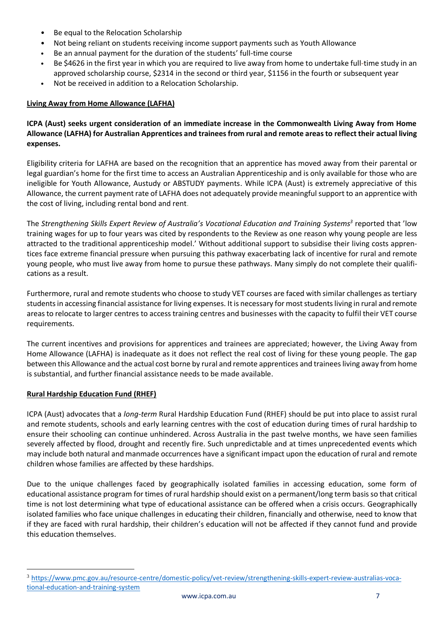- Be equal to the Relocation Scholarship
- Not being reliant on students receiving income support payments such as Youth Allowance
- Be an annual payment for the duration of the students' full-time course
- Be \$4626 in the first year in which you are required to live away from home to undertake full-time study in an approved scholarship course, \$2314 in the second or third year, \$1156 in the fourth or subsequent year
- Not be received in addition to a Relocation Scholarship.

# **Living Away from Home Allowance (LAFHA)**

# **ICPA (Aust) seeks urgent consideration of an immediate increase in the Commonwealth Living Away from Home Allowance (LAFHA) for Australian Apprentices and trainees from rural and remote areas to reflect their actual living expenses.**

Eligibility criteria for LAFHA are based on the recognition that an apprentice has moved away from their parental or legal guardian's home for the first time to access an Australian Apprenticeship and is only available for those who are ineligible for Youth Allowance, Austudy or ABSTUDY payments. While ICPA (Aust) is extremely appreciative of this Allowance, the current payment rate of LAFHA does not adequately provide meaningful support to an apprentice with the cost of living, including rental bond and rent.

The *Strengthening Skills Expert Review of Australia's Vocational Education and Training Systems<sup>3</sup>* reported that 'low training wages for up to four years was cited by respondents to the Review as one reason why young people are less attracted to the traditional apprenticeship model.' Without additional support to subsidise their living costs apprentices face extreme financial pressure when pursuing this pathway exacerbating lack of incentive for rural and remote young people, who must live away from home to pursue these pathways. Many simply do not complete their qualifications as a result.

Furthermore, rural and remote students who choose to study VET courses are faced with similar challenges as tertiary students in accessing financial assistance for living expenses. It is necessary for most students living in rural and remote areas to relocate to larger centres to access training centres and businesses with the capacity to fulfil their VET course requirements.

The current incentives and provisions for apprentices and trainees are appreciated; however, the Living Away from Home Allowance (LAFHA) is inadequate as it does not reflect the real cost of living for these young people. The gap between this Allowance and the actual cost borne by rural and remote apprentices and trainees living away from home is substantial, and further financial assistance needs to be made available.

# **Rural Hardship Education Fund (RHEF)**

ICPA (Aust) advocates that a *long-term* Rural Hardship Education Fund (RHEF) should be put into place to assist rural and remote students, schools and early learning centres with the cost of education during times of rural hardship to ensure their schooling can continue unhindered. Across Australia in the past twelve months, we have seen families severely affected by flood, drought and recently fire. Such unpredictable and at times unprecedented events which may include both natural and manmade occurrences have a significant impact upon the education of rural and remote children whose families are affected by these hardships.

Due to the unique challenges faced by geographically isolated families in accessing education, some form of educational assistance program for times of rural hardship should exist on a permanent/long term basis so that critical time is not lost determining what type of educational assistance can be offered when a crisis occurs. Geographically isolated families who face unique challenges in educating their children, financially and otherwise, need to know that if they are faced with rural hardship, their children's education will not be affected if they cannot fund and provide this education themselves.

<sup>3</sup> [https://www.pmc.gov.au/resource-centre/domestic-policy/vet-review/strengthening-skills-expert-review-australias-voca](https://www.pmc.gov.au/resource-centre/domestic-policy/vet-review/strengthening-skills-expert-review-australias-vocational-education-and-training-system)[tional-education-and-training-system](https://www.pmc.gov.au/resource-centre/domestic-policy/vet-review/strengthening-skills-expert-review-australias-vocational-education-and-training-system)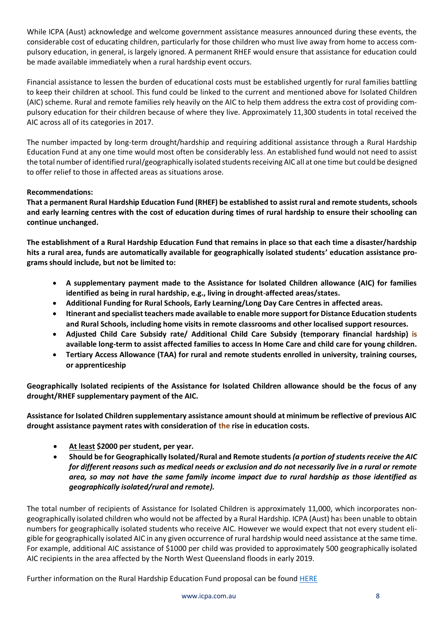While ICPA (Aust) acknowledge and welcome government assistance measures announced during these events, the considerable cost of educating children, particularly for those children who must live away from home to access compulsory education, in general, is largely ignored. A permanent RHEF would ensure that assistance for education could be made available immediately when a rural hardship event occurs.

Financial assistance to lessen the burden of educational costs must be established urgently for rural families battling to keep their children at school. This fund could be linked to the current and mentioned above for Isolated Children (AIC) scheme. Rural and remote families rely heavily on the AIC to help them address the extra cost of providing compulsory education for their children because of where they live. Approximately 11,300 students in total received the AIC across all of its categories in 2017.

The number impacted by long-term drought/hardship and requiring additional assistance through a Rural Hardship Education Fund at any one time would most often be considerably less. An established fund would not need to assist the total number of identified rural/geographically isolated students receiving AIC all at one time but could be designed to offer relief to those in affected areas as situations arose.

# **Recommendations:**

**That a permanent Rural Hardship Education Fund (RHEF) be established to assist rural and remote students,schools** and early learning centres with the cost of education during times of rural hardship to ensure their schooling can **continue unchanged.**

**The establishment of a Rural Hardship Education Fund that remains in place so that each time a disaster/hardship hits a rural area, funds are automatically available for geographically isolated students' education assistance programs should include, but not be limited to:**

- **A supplementary payment made to the Assistance for Isolated Children allowance (AIC) for families identified as being in rural hardship, e.g., living in drought-affected areas/states.**
- **Additional Funding for Rural Schools, Early Learning/Long Day Care Centres in affected areas.**
- **Itinerant and specialist teachers made available to enable more support for Distance Education students and Rural Schools, including home visits in remote classrooms and other localised support resources.**
- **Adjusted Child Care Subsidy rate/ Additional Child Care Subsidy (temporary financial hardship) is available long-term to assist affected families to access In Home Care and child care for young children.**
- **Tertiary Access Allowance (TAA) for rural and remote students enrolled in university, training courses, or apprenticeship**

**Geographically Isolated recipients of the Assistance for Isolated Children allowance should be the focus of any drought/RHEF supplementary payment of the AIC.** 

**Assistance for Isolated Children supplementary assistance amount should at minimum be reflective of previous AIC drought assistance payment rates with consideration of the rise in education costs.** 

- **At least \$2000 per student, per year.**
- **Should be for Geographically Isolated/Rural and Remote students** *(a portion of students receive the AIC for different reasons such as medical needs or exclusion and do not necessarily live in a rural or remote area, so may not have the same family income impact due to rural hardship as those identified as geographically isolated/rural and remote).*

The total number of recipients of Assistance for Isolated Children is approximately 11,000, which incorporates nongeographically isolated children who would not be affected by a Rural Hardship. ICPA (Aust) has been unable to obtain numbers for geographically isolated students who receive AIC. However we would expect that not every student eligible for geographically isolated AIC in any given occurrence of rural hardship would need assistance at the same time. For example, additional AIC assistance of \$1000 per child was provided to approximately 500 geographically isolated AIC recipients in the area affected by the North West Queensland floods in early 2019.

Further information on the Rural Hardship Education Fund proposal can be found [HERE](https://www.icpa.com.au/documents/download/1189/federal-current-issues/rural-hardship-education-fund-october-2019.pdf)